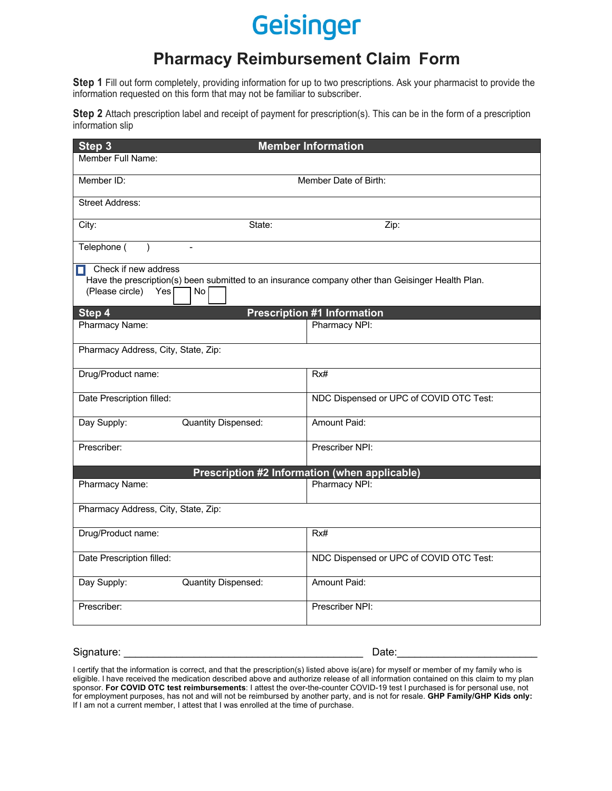# Geisinger

# **Pharmacy Reimbursement Claim Form**

**Step 1** Fill out form completely, providing information for up to two prescriptions. Ask your pharmacist to provide the information requested on this form that may not be familiar to subscriber.

**Step 2** Attach prescription label and receipt of payment for prescription(s). This can be in the form of a prescription information slip

| <b>Member Information</b><br>Step 3                                                                                                                             |                                         |
|-----------------------------------------------------------------------------------------------------------------------------------------------------------------|-----------------------------------------|
| Member Full Name:                                                                                                                                               |                                         |
| Member ID:                                                                                                                                                      | Member Date of Birth:                   |
| <b>Street Address:</b>                                                                                                                                          |                                         |
| City:<br>State:                                                                                                                                                 | Zip:                                    |
| Telephone (<br>$\lambda$<br>$\overline{a}$                                                                                                                      |                                         |
| Check if new address<br>п<br>Have the prescription(s) been submitted to an insurance company other than Geisinger Health Plan.<br>(Please circle)<br>Yes<br>No. |                                         |
| <b>Prescription #1 Information</b><br>Step 4                                                                                                                    |                                         |
| Pharmacy Name:                                                                                                                                                  | Pharmacy NPI:                           |
| Pharmacy Address, City, State, Zip:                                                                                                                             |                                         |
| Drug/Product name:                                                                                                                                              | Rx#                                     |
| Date Prescription filled:                                                                                                                                       | NDC Dispensed or UPC of COVID OTC Test: |
| Day Supply:<br>Quantity Dispensed:                                                                                                                              | Amount Paid:                            |
| Prescriber:                                                                                                                                                     | Prescriber NPI:                         |
| Prescription #2 Information (when applicable)                                                                                                                   |                                         |
| Pharmacy Name:                                                                                                                                                  | Pharmacy NPI:                           |
| Pharmacy Address, City, State, Zip:                                                                                                                             |                                         |
| Drug/Product name:                                                                                                                                              | Rx#                                     |
| Date Prescription filled:                                                                                                                                       | NDC Dispensed or UPC of COVID OTC Test: |
| Day Supply:<br>Quantity Dispensed:                                                                                                                              | Amount Paid:                            |
| Prescriber:                                                                                                                                                     | Prescriber NPI:                         |
|                                                                                                                                                                 |                                         |

Signature: \_\_\_\_\_\_\_\_\_\_\_\_\_\_\_\_\_\_\_\_\_\_\_\_\_\_\_\_\_\_\_\_\_\_\_\_\_\_\_\_\_ Date:\_\_\_\_\_\_\_\_\_\_\_\_\_\_\_\_\_\_\_\_\_\_\_\_

I certify that the information is correct, and that the prescription(s) listed above is(are) for myself or member of my family who is eligible. I have received the medication described above and authorize release of all information contained on this claim to my plan sponsor. **For COVID OTC test reimbursements**: I attest the over-the-counter COVID-19 test I purchased is for personal use, not for employment purposes, has not and will not be reimbursed by another party, and is not for resale. **GHP Family/GHP Kids only:** If I am not a current member, I attest that I was enrolled at the time of purchase.